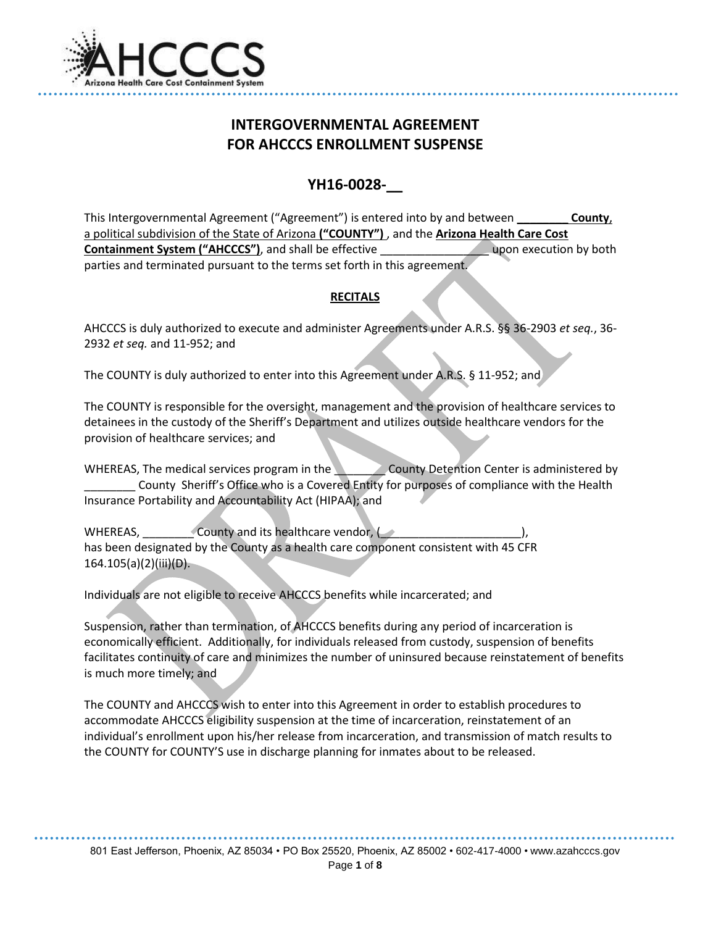

# **INTERGOVERNMENTAL AGREEMENT FOR AHCCCS ENROLLMENT SUSPENSE**

# **YH16-0028-\_\_**

This Intergovernmental Agreement ("Agreement") is entered into by and between **\_\_\_\_\_\_\_\_ County**, a political subdivision of the State of Arizona **("COUNTY")** , and the **Arizona Health Care Cost Containment System ("AHCCCS")**, and shall be effective \_\_\_\_\_\_\_\_\_\_\_\_\_\_\_\_\_ upon execution by both parties and terminated pursuant to the terms set forth in this agreement.

# **RECITALS**

AHCCCS is duly authorized to execute and administer Agreements under A.R.S. §§ 36-2903 *et seq.*, 36- 2932 *et seq.* and 11-952; and

The COUNTY is duly authorized to enter into this Agreement under A.R.S. § 11-952; and

The COUNTY is responsible for the oversight, management and the provision of healthcare services to detainees in the custody of the Sheriff's Department and utilizes outside healthcare vendors for the provision of healthcare services; and

WHEREAS, The medical services program in the **Land County Detention Center is administered by** \_\_\_\_\_\_\_\_ County Sheriff's Office who is a Covered Entity for purposes of compliance with the Health Insurance Portability and Accountability Act (HIPAA); and

WHEREAS, \_\_\_\_\_\_\_\_ County and its healthcare vendor, (\_\_\_\_\_\_\_\_\_\_\_\_\_\_\_\_\_\_\_\_\_\_), has been designated by the County as a health care component consistent with 45 CFR  $164.105(a)(2)(iii)(D)$ .

Individuals are not eligible to receive AHCCCS benefits while incarcerated; and

Suspension, rather than termination, of AHCCCS benefits during any period of incarceration is economically efficient. Additionally, for individuals released from custody, suspension of benefits facilitates continuity of care and minimizes the number of uninsured because reinstatement of benefits is much more timely; and

The COUNTY and AHCCCS wish to enter into this Agreement in order to establish procedures to accommodate AHCCCS eligibility suspension at the time of incarceration, reinstatement of an individual's enrollment upon his/her release from incarceration, and transmission of match results to the COUNTY for COUNTY'S use in discharge planning for inmates about to be released.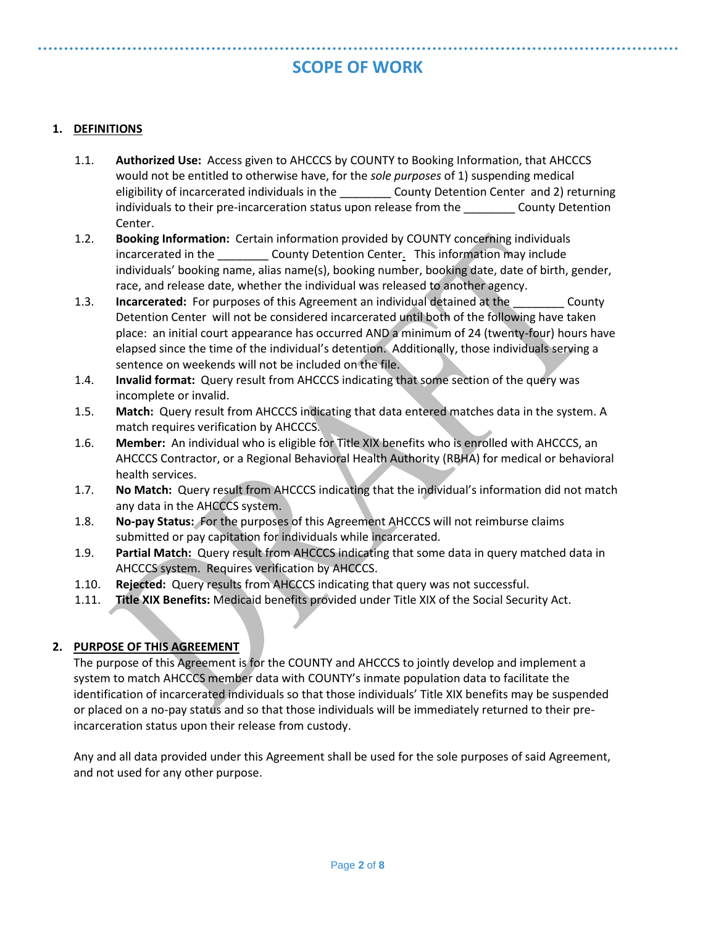# **SCOPE OF WORK**

### **1. DEFINITIONS**

- 1.1. **Authorized Use:** Access given to AHCCCS by COUNTY to Booking Information, that AHCCCS would not be entitled to otherwise have, for the *sole purposes* of 1) suspending medical eligibility of incarcerated individuals in the **County Detention Center and 2) returning** individuals to their pre-incarceration status upon release from the county Detention Center.
- 1.2. **Booking Information:** Certain information provided by COUNTY concerning individuals incarcerated in the \_\_\_\_\_\_\_\_\_ County Detention Center. This information may include individuals' booking name, alias name(s), booking number, booking date, date of birth, gender, race, and release date, whether the individual was released to another agency.
- 1.3. **Incarcerated:** For purposes of this Agreement an individual detained at the County Detention Center will not be considered incarcerated until both of the following have taken place: an initial court appearance has occurred AND a minimum of 24 (twenty-four) hours have elapsed since the time of the individual's detention. Additionally, those individuals serving a sentence on weekends will not be included on the file.
- 1.4. **Invalid format:** Query result from AHCCCS indicating that some section of the query was incomplete or invalid.
- 1.5. **Match:** Query result from AHCCCS indicating that data entered matches data in the system. A match requires verification by AHCCCS.
- 1.6. **Member:** An individual who is eligible for Title XIX benefits who is enrolled with AHCCCS, an AHCCCS Contractor, or a Regional Behavioral Health Authority (RBHA) for medical or behavioral health services.
- 1.7. **No Match:** Query result from AHCCCS indicating that the individual's information did not match any data in the AHCCCS system.
- 1.8. **No-pay Status:** For the purposes of this Agreement AHCCCS will not reimburse claims submitted or pay capitation for individuals while incarcerated.
- 1.9. **Partial Match:** Query result from AHCCCS indicating that some data in query matched data in AHCCCS system. Requires verification by AHCCCS.
- 1.10. **Rejected:** Query results from AHCCCS indicating that query was not successful.
- 1.11. **Title XIX Benefits:** Medicaid benefits provided under Title XIX of the Social Security Act.

## **2. PURPOSE OF THIS AGREEMENT**

The purpose of this Agreement is for the COUNTY and AHCCCS to jointly develop and implement a system to match AHCCCS member data with COUNTY's inmate population data to facilitate the identification of incarcerated individuals so that those individuals' Title XIX benefits may be suspended or placed on a no-pay status and so that those individuals will be immediately returned to their preincarceration status upon their release from custody.

Any and all data provided under this Agreement shall be used for the sole purposes of said Agreement, and not used for any other purpose.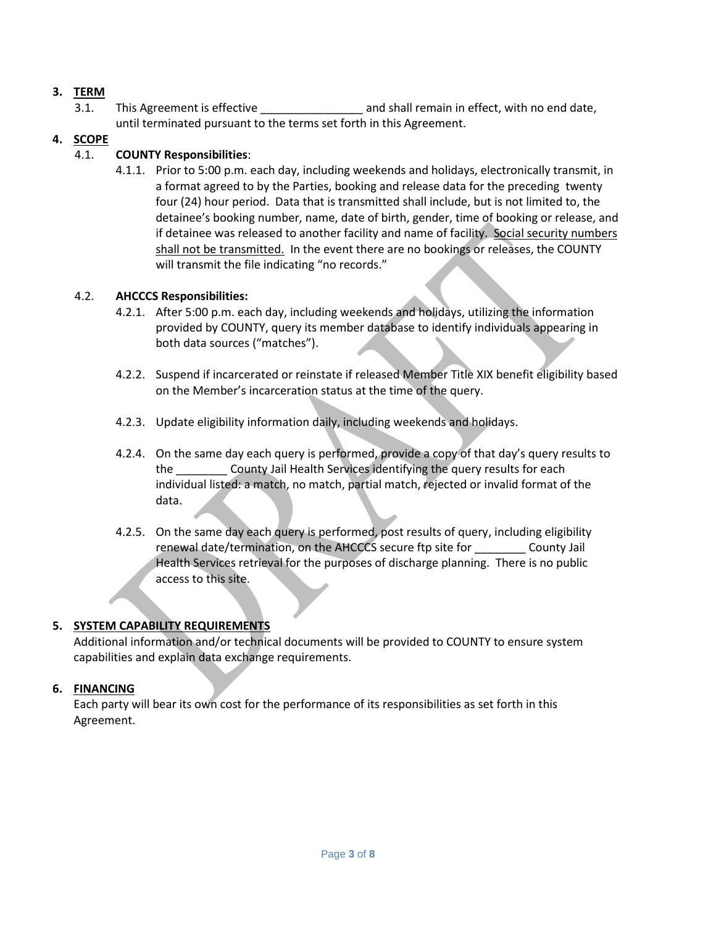# **3. TERM**

3.1. This Agreement is effective \_\_\_\_\_\_\_\_\_\_\_\_\_\_\_\_\_\_\_\_\_\_ and shall remain in effect, with no end date, until terminated pursuant to the terms set forth in this Agreement.

### **4. SCOPE**

### 4.1. **COUNTY Responsibilities**:

4.1.1. Prior to 5:00 p.m. each day, including weekends and holidays, electronically transmit, in a format agreed to by the Parties, booking and release data for the preceding twenty four (24) hour period. Data that is transmitted shall include, but is not limited to, the detainee's booking number, name, date of birth, gender, time of booking or release, and if detainee was released to another facility and name of facility. Social security numbers shall not be transmitted. In the event there are no bookings or releases, the COUNTY will transmit the file indicating "no records."

#### 4.2. **AHCCCS Responsibilities:**

- 4.2.1. After 5:00 p.m. each day, including weekends and holidays, utilizing the information provided by COUNTY, query its member database to identify individuals appearing in both data sources ("matches").
- 4.2.2. Suspend if incarcerated or reinstate if released Member Title XIX benefit eligibility based on the Member's incarceration status at the time of the query.
- 4.2.3. Update eligibility information daily, including weekends and holidays.
- 4.2.4. On the same day each query is performed, provide a copy of that day's query results to the \_\_\_\_\_\_\_\_ County Jail Health Services identifying the query results for each individual listed: a match, no match, partial match, rejected or invalid format of the data.
- 4.2.5. On the same day each query is performed, post results of query, including eligibility renewal date/termination, on the AHCCCS secure ftp site for \_\_\_\_\_\_\_\_ County Jail Health Services retrieval for the purposes of discharge planning. There is no public access to this site.

# **5. SYSTEM CAPABILITY REQUIREMENTS**

Additional information and/or technical documents will be provided to COUNTY to ensure system capabilities and explain data exchange requirements.

## **6. FINANCING**

Each party will bear its own cost for the performance of its responsibilities as set forth in this Agreement.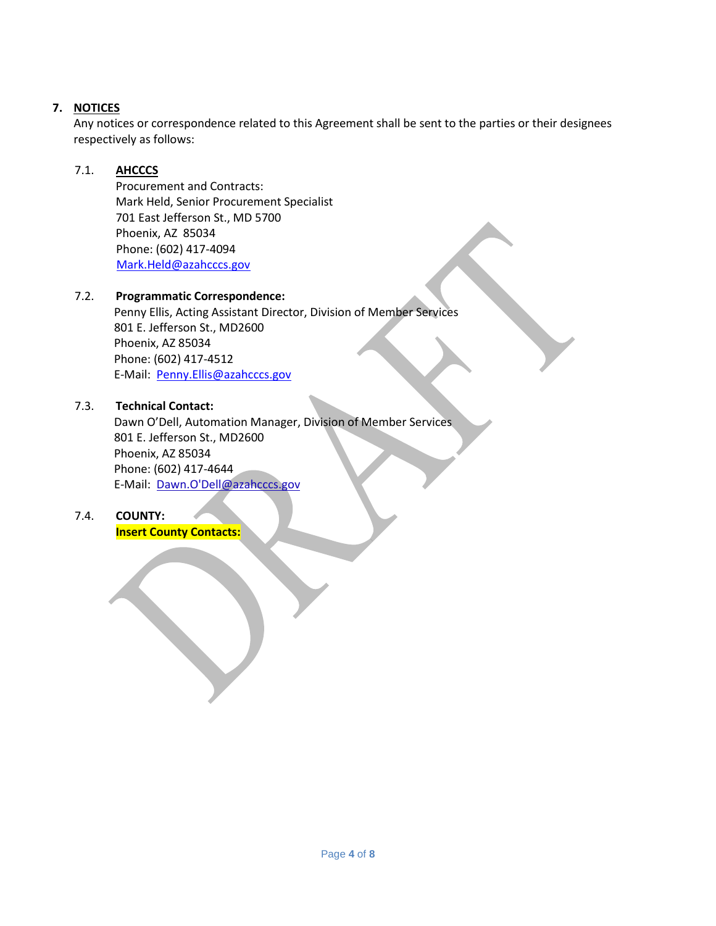# **7. NOTICES**

Any notices or correspondence related to this Agreement shall be sent to the parties or their designees respectively as follows:

# 7.1. **AHCCCS**

Procurement and Contracts: Mark Held, Senior Procurement Specialist 701 East Jefferson St., MD 5700 Phoenix, AZ 85034 Phone: (602) 417-4094 [Mark.Held@azahcccs.gov](mailto:Mark.Held@azahcccs.gov)

# 7.2. **Programmatic Correspondence:**

 Penny Ellis, Acting Assistant Director, Division of Member Services 801 E. Jefferson St., MD2600 Phoenix, AZ 85034 Phone: (602) 417-4512 E-Mail: [Penny.Ellis@azahcccs.gov](mailto:Penny.Ellis@azahcccs.gov)

# 7.3. **Technical Contact:**

 Dawn O'Dell, Automation Manager, Division of Member Services 801 E. Jefferson St., MD2600 Phoenix, AZ 85034 Phone: (602) 417-4644 E-Mail: Dawn.O'Dell@azahcccs.gov

# 7.4. **COUNTY:**

**Insert County Contacts:**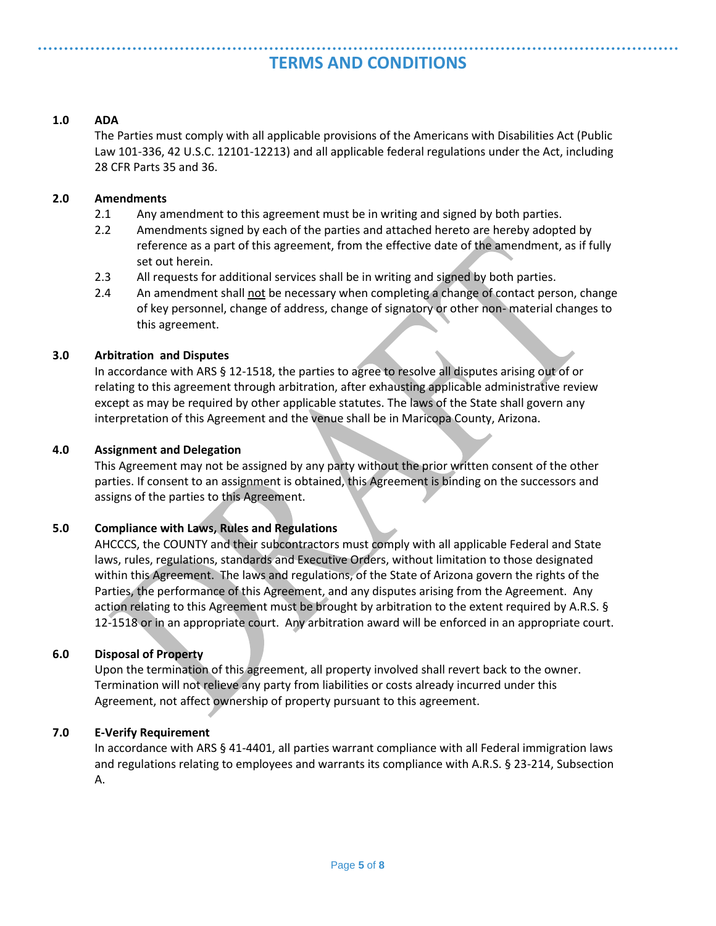# **TERMS AND CONDITIONS**

#### **1.0 ADA**

The Parties must comply with all applicable provisions of the Americans with Disabilities Act (Public Law 101-336, 42 U.S.C. 12101-12213) and all applicable federal regulations under the Act, including 28 CFR Parts 35 and 36.

#### **2.0 Amendments**

- 2.1 Any amendment to this agreement must be in writing and signed by both parties.
- 2.2 Amendments signed by each of the parties and attached hereto are hereby adopted by reference as a part of this agreement, from the effective date of the amendment, as if fully set out herein.
- 2.3 All requests for additional services shall be in writing and signed by both parties.
- 2.4 An amendment shall not be necessary when completing a change of contact person, change of key personnel, change of address, change of signatory or other non- material changes to this agreement.

#### **3.0 Arbitration and Disputes**

In accordance with ARS § 12-1518, the parties to agree to resolve all disputes arising out of or relating to this agreement through arbitration, after exhausting applicable administrative review except as may be required by other applicable statutes. The laws of the State shall govern any interpretation of this Agreement and the venue shall be in Maricopa County, Arizona.

#### **4.0 Assignment and Delegation**

This Agreement may not be assigned by any party without the prior written consent of the other parties. If consent to an assignment is obtained, this Agreement is binding on the successors and assigns of the parties to this Agreement.

## **5.0 Compliance with Laws, Rules and Regulations**

AHCCCS, the COUNTY and their subcontractors must comply with all applicable Federal and State laws, rules, regulations, standards and Executive Orders, without limitation to those designated within this Agreement. The laws and regulations, of the State of Arizona govern the rights of the Parties, the performance of this Agreement, and any disputes arising from the Agreement. Any action relating to this Agreement must be brought by arbitration to the extent required by A.R.S. § 12-1518 or in an appropriate court. Any arbitration award will be enforced in an appropriate court.

#### **6.0 Disposal of Property**

Upon the termination of this agreement, all property involved shall revert back to the owner. Termination will not relieve any party from liabilities or costs already incurred under this Agreement, not affect ownership of property pursuant to this agreement.

#### **7.0 E-Verify Requirement**

In accordance with ARS § 41-4401, all parties warrant compliance with all Federal immigration laws and regulations relating to employees and warrants its compliance with A.R.S. § 23-214, Subsection A.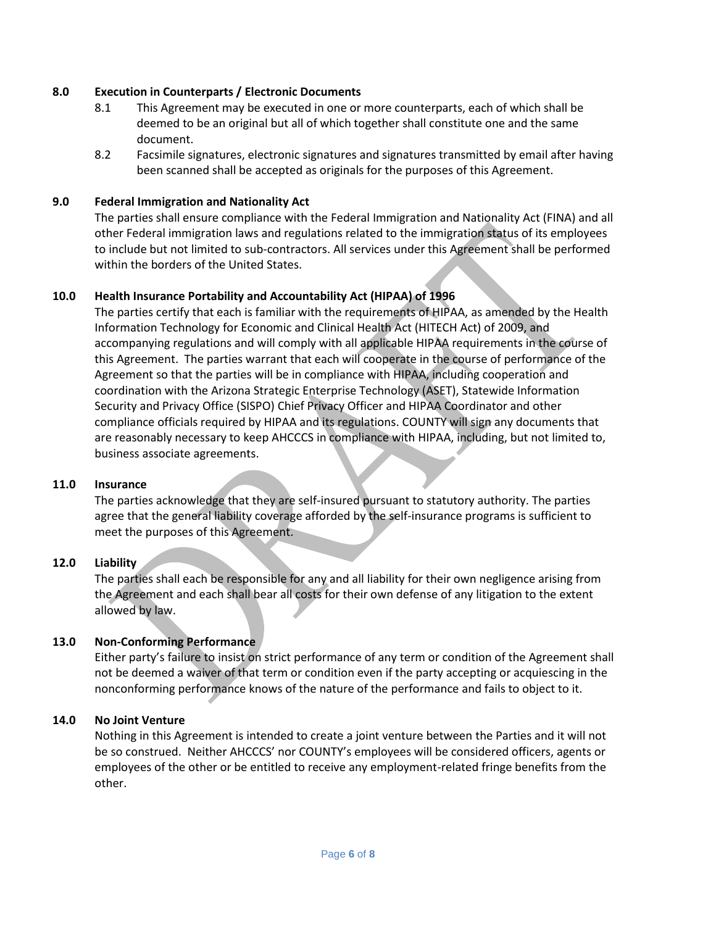#### **8.0 Execution in Counterparts / Electronic Documents**

- 8.1 This Agreement may be executed in one or more counterparts, each of which shall be deemed to be an original but all of which together shall constitute one and the same document.
- 8.2 Facsimile signatures, electronic signatures and signatures transmitted by email after having been scanned shall be accepted as originals for the purposes of this Agreement.

#### **9.0 Federal Immigration and Nationality Act**

The parties shall ensure compliance with the Federal Immigration and Nationality Act (FINA) and all other Federal immigration laws and regulations related to the immigration status of its employees to include but not limited to sub-contractors. All services under this Agreement shall be performed within the borders of the United States.

#### **10.0 Health Insurance Portability and Accountability Act (HIPAA) of 1996**

The parties certify that each is familiar with the requirements of HIPAA, as amended by the Health Information Technology for Economic and Clinical Health Act (HITECH Act) of 2009, and accompanying regulations and will comply with all applicable HIPAA requirements in the course of this Agreement. The parties warrant that each will cooperate in the course of performance of the Agreement so that the parties will be in compliance with HIPAA, including cooperation and coordination with the Arizona Strategic Enterprise Technology (ASET), Statewide Information Security and Privacy Office (SISPO) Chief Privacy Officer and HIPAA Coordinator and other compliance officials required by HIPAA and its regulations. COUNTY will sign any documents that are reasonably necessary to keep AHCCCS in compliance with HIPAA, including, but not limited to, business associate agreements.

#### **11.0 Insurance**

The parties acknowledge that they are self-insured pursuant to statutory authority. The parties agree that the general liability coverage afforded by the self-insurance programs is sufficient to meet the purposes of this Agreement.

#### **12.0 Liability**

The parties shall each be responsible for any and all liability for their own negligence arising from the Agreement and each shall bear all costs for their own defense of any litigation to the extent allowed by law.

#### **13.0 Non-Conforming Performance**

Either party's failure to insist on strict performance of any term or condition of the Agreement shall not be deemed a waiver of that term or condition even if the party accepting or acquiescing in the nonconforming performance knows of the nature of the performance and fails to object to it.

#### **14.0 No Joint Venture**

Nothing in this Agreement is intended to create a joint venture between the Parties and it will not be so construed. Neither AHCCCS' nor COUNTY's employees will be considered officers, agents or employees of the other or be entitled to receive any employment-related fringe benefits from the other.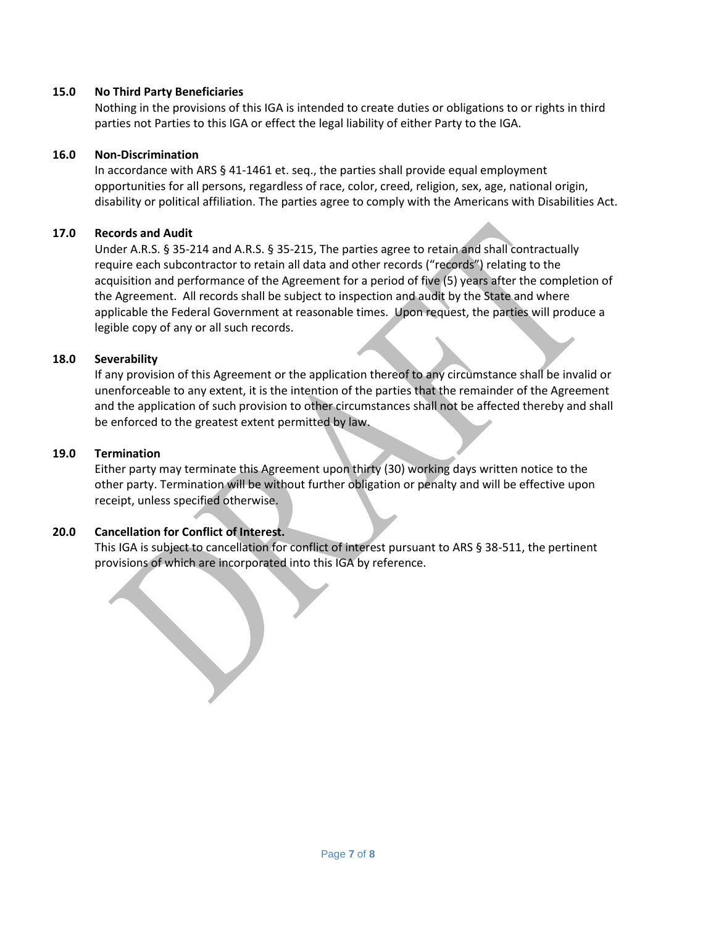#### **15.0 No Third Party Beneficiaries**

Nothing in the provisions of this IGA is intended to create duties or obligations to or rights in third parties not Parties to this IGA or effect the legal liability of either Party to the IGA.

#### **16.0 Non-Discrimination**

In accordance with ARS § 41-1461 et. seq., the parties shall provide equal employment opportunities for all persons, regardless of race, color, creed, religion, sex, age, national origin, disability or political affiliation. The parties agree to comply with the Americans with Disabilities Act.

#### **17.0 Records and Audit**

Under A.R.S. § 35-214 and A.R.S. § 35-215, The parties agree to retain and shall contractually require each subcontractor to retain all data and other records ("records") relating to the acquisition and performance of the Agreement for a period of five (5) years after the completion of the Agreement. All records shall be subject to inspection and audit by the State and where applicable the Federal Government at reasonable times. Upon request, the parties will produce a legible copy of any or all such records.

#### **18.0 Severability**

If any provision of this Agreement or the application thereof to any circumstance shall be invalid or unenforceable to any extent, it is the intention of the parties that the remainder of the Agreement and the application of such provision to other circumstances shall not be affected thereby and shall be enforced to the greatest extent permitted by law.

#### **19.0 Termination**

Either party may terminate this Agreement upon thirty (30) working days written notice to the other party. Termination will be without further obligation or penalty and will be effective upon receipt, unless specified otherwise.

## **20.0 Cancellation for Conflict of Interest.**

This IGA is subject to cancellation for conflict of interest pursuant to ARS § 38-511, the pertinent provisions of which are incorporated into this IGA by reference.